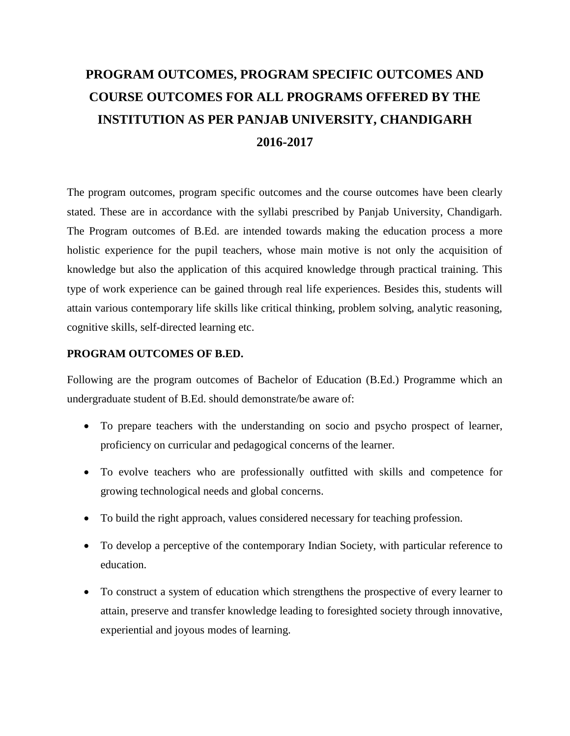# **PROGRAM OUTCOMES, PROGRAM SPECIFIC OUTCOMES AND COURSE OUTCOMES FOR ALL PROGRAMS OFFERED BY THE INSTITUTION AS PER PANJAB UNIVERSITY, CHANDIGARH 2016-2017**

The program outcomes, program specific outcomes and the course outcomes have been clearly stated. These are in accordance with the syllabi prescribed by Panjab University, Chandigarh. The Program outcomes of B.Ed. are intended towards making the education process a more holistic experience for the pupil teachers, whose main motive is not only the acquisition of knowledge but also the application of this acquired knowledge through practical training. This type of work experience can be gained through real life experiences. Besides this, students will attain various contemporary life skills like critical thinking, problem solving, analytic reasoning, cognitive skills, self-directed learning etc.

#### **PROGRAM OUTCOMES OF B.ED.**

Following are the program outcomes of Bachelor of Education (B.Ed.) Programme which an undergraduate student of B.Ed. should demonstrate/be aware of:

- To prepare teachers with the understanding on socio and psycho prospect of learner, proficiency on curricular and pedagogical concerns of the learner.
- To evolve teachers who are professionally outfitted with skills and competence for growing technological needs and global concerns.
- To build the right approach, values considered necessary for teaching profession.
- To develop a perceptive of the contemporary Indian Society, with particular reference to education.
- To construct a system of education which strengthens the prospective of every learner to attain, preserve and transfer knowledge leading to foresighted society through innovative, experiential and joyous modes of learning.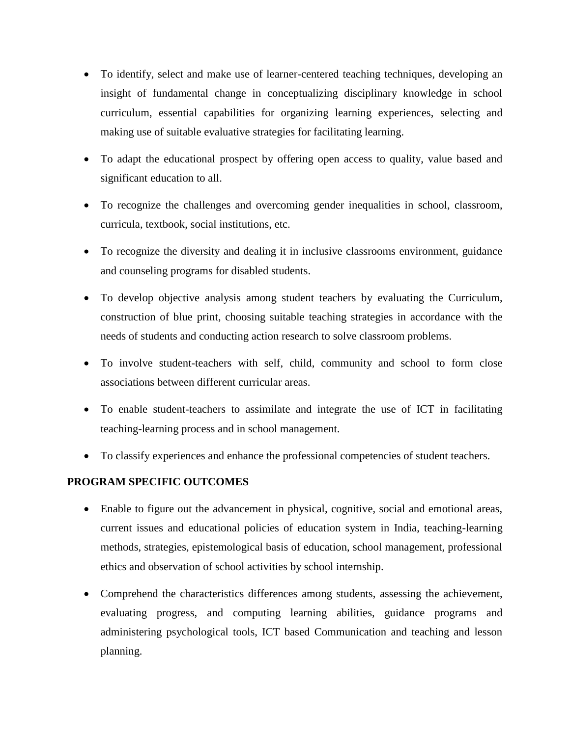- To identify, select and make use of learner-centered teaching techniques, developing an insight of fundamental change in conceptualizing disciplinary knowledge in school curriculum, essential capabilities for organizing learning experiences, selecting and making use of suitable evaluative strategies for facilitating learning.
- To adapt the educational prospect by offering open access to quality, value based and significant education to all.
- To recognize the challenges and overcoming gender inequalities in school, classroom, curricula, textbook, social institutions, etc.
- To recognize the diversity and dealing it in inclusive classrooms environment, guidance and counseling programs for disabled students.
- To develop objective analysis among student teachers by evaluating the Curriculum, construction of blue print, choosing suitable teaching strategies in accordance with the needs of students and conducting action research to solve classroom problems.
- To involve student-teachers with self, child, community and school to form close associations between different curricular areas.
- To enable student-teachers to assimilate and integrate the use of ICT in facilitating teaching-learning process and in school management.
- To classify experiences and enhance the professional competencies of student teachers.

#### **PROGRAM SPECIFIC OUTCOMES**

- Enable to figure out the advancement in physical, cognitive, social and emotional areas, current issues and educational policies of education system in India, teaching-learning methods, strategies, epistemological basis of education, school management, professional ethics and observation of school activities by school internship.
- Comprehend the characteristics differences among students, assessing the achievement, evaluating progress, and computing learning abilities, guidance programs and administering psychological tools, ICT based Communication and teaching and lesson planning.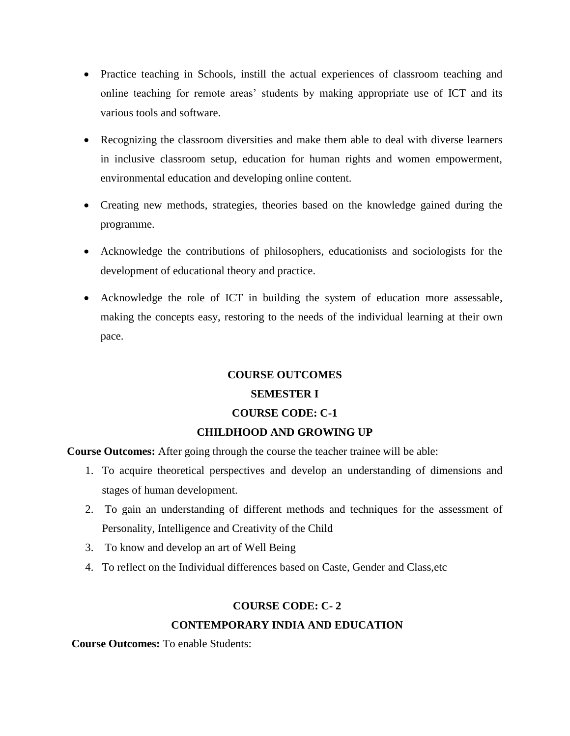- Practice teaching in Schools, instill the actual experiences of classroom teaching and online teaching for remote areas' students by making appropriate use of ICT and its various tools and software.
- Recognizing the classroom diversities and make them able to deal with diverse learners in inclusive classroom setup, education for human rights and women empowerment, environmental education and developing online content.
- Creating new methods, strategies, theories based on the knowledge gained during the programme.
- Acknowledge the contributions of philosophers, educationists and sociologists for the development of educational theory and practice.
- Acknowledge the role of ICT in building the system of education more assessable, making the concepts easy, restoring to the needs of the individual learning at their own pace.

#### **COURSE OUTCOMES**

#### **SEMESTER I**

#### **COURSE CODE: C-1**

#### **CHILDHOOD AND GROWING UP**

**Course Outcomes:** After going through the course the teacher trainee will be able:

- 1. To acquire theoretical perspectives and develop an understanding of dimensions and stages of human development.
- 2. To gain an understanding of different methods and techniques for the assessment of Personality, Intelligence and Creativity of the Child
- 3. To know and develop an art of Well Being
- 4. To reflect on the Individual differences based on Caste, Gender and Class,etc

#### **COURSE CODE: C- 2**

#### **CONTEMPORARY INDIA AND EDUCATION**

**Course Outcomes:** To enable Students: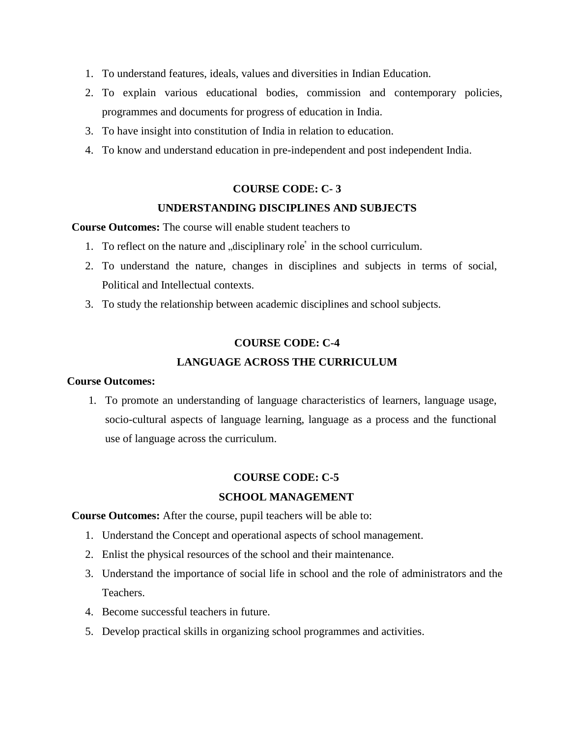- 1. To understand features, ideals, values and diversities in Indian Education.
- 2. To explain various educational bodies, commission and contemporary policies, programmes and documents for progress of education in India.
- 3. To have insight into constitution of India in relation to education.
- 4. To know and understand education in pre-independent and post independent India.

#### **COURSE CODE: C- 3**

#### **UNDERSTANDING DISCIPLINES AND SUBJECTS**

**Course Outcomes:** The course will enable student teachers to

- 1. To reflect on the nature and "disciplinary role" in the school curriculum.
- 2. To understand the nature, changes in disciplines and subjects in terms of social, Political and Intellectual contexts.
- 3. To study the relationship between academic disciplines and school subjects.

#### **COURSE CODE: C-4**

#### **LANGUAGE ACROSS THE CURRICULUM**

#### **Course Outcomes:**

1. To promote an understanding of language characteristics of learners, language usage, socio-cultural aspects of language learning, language as a process and the functional use of language across the curriculum.

#### **COURSE CODE: C-5**

#### **SCHOOL MANAGEMENT**

**Course Outcomes:** After the course, pupil teachers will be able to:

- 1. Understand the Concept and operational aspects of school management.
- 2. Enlist the physical resources of the school and their maintenance.
- 3. Understand the importance of social life in school and the role of administrators and the Teachers.
- 4. Become successful teachers in future.
- 5. Develop practical skills in organizing school programmes and activities.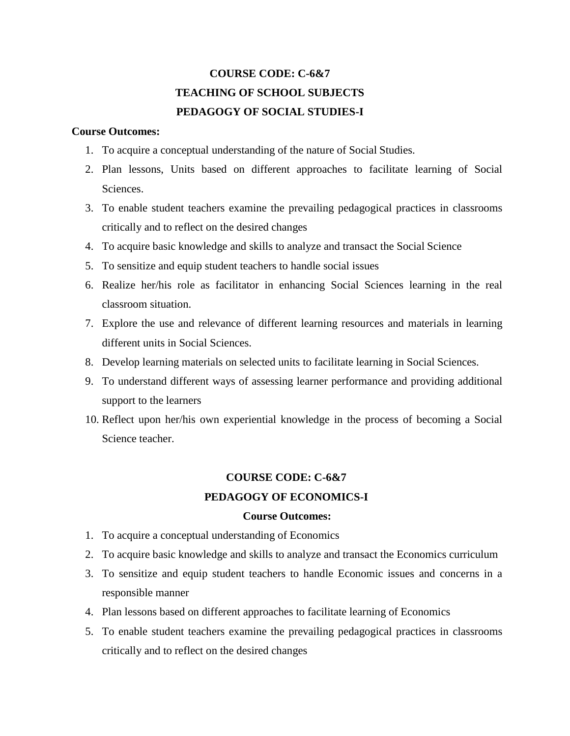## **COURSE CODE: C-6&7 TEACHING OF SCHOOL SUBJECTS PEDAGOGY OF SOCIAL STUDIES-I**

#### **Course Outcomes:**

- 1. To acquire a conceptual understanding of the nature of Social Studies.
- 2. Plan lessons, Units based on different approaches to facilitate learning of Social Sciences.
- 3. To enable student teachers examine the prevailing pedagogical practices in classrooms critically and to reflect on the desired changes
- 4. To acquire basic knowledge and skills to analyze and transact the Social Science
- 5. To sensitize and equip student teachers to handle social issues
- 6. Realize her/his role as facilitator in enhancing Social Sciences learning in the real classroom situation.
- 7. Explore the use and relevance of different learning resources and materials in learning different units in Social Sciences.
- 8. Develop learning materials on selected units to facilitate learning in Social Sciences.
- 9. To understand different ways of assessing learner performance and providing additional support to the learners
- 10. Reflect upon her/his own experiential knowledge in the process of becoming a Social Science teacher.

## **COURSE CODE: C-6&7 PEDAGOGY OF ECONOMICS-I**

- 1. To acquire a conceptual understanding of Economics
- 2. To acquire basic knowledge and skills to analyze and transact the Economics curriculum
- 3. To sensitize and equip student teachers to handle Economic issues and concerns in a responsible manner
- 4. Plan lessons based on different approaches to facilitate learning of Economics
- 5. To enable student teachers examine the prevailing pedagogical practices in classrooms critically and to reflect on the desired changes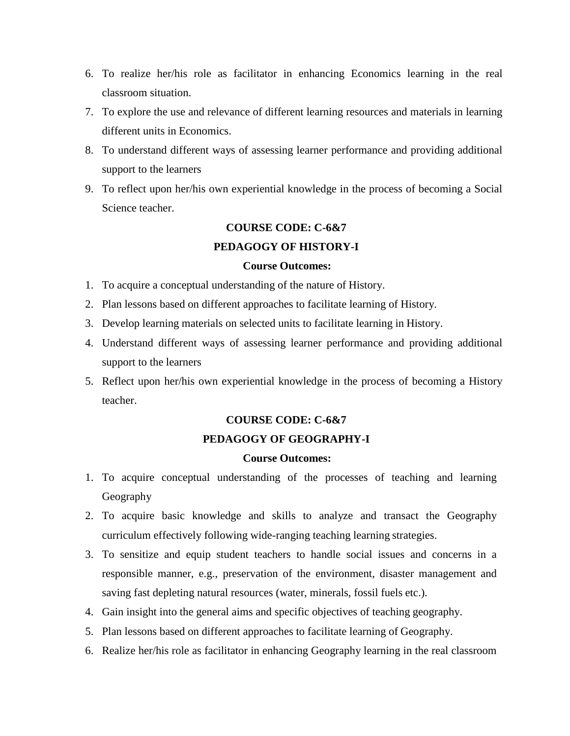- 6. To realize her/his role as facilitator in enhancing Economics learning in the real classroom situation.
- 7. To explore the use and relevance of different learning resources and materials in learning different units in Economics.
- 8. To understand different ways of assessing learner performance and providing additional support to the learners
- 9. To reflect upon her/his own experiential knowledge in the process of becoming a Social Science teacher.

## **COURSE CODE: C-6&7 PEDAGOGY OF HISTORY-I**

#### **Course Outcomes:**

- 1. To acquire a conceptual understanding of the nature of History.
- 2. Plan lessons based on different approaches to facilitate learning of History.
- 3. Develop learning materials on selected units to facilitate learning in History.
- 4. Understand different ways of assessing learner performance and providing additional support to the learners
- 5. Reflect upon her/his own experiential knowledge in the process of becoming a History teacher.

#### **COURSE CODE: C-6&7**

#### **PEDAGOGY OF GEOGRAPHY-I**

- 1. To acquire conceptual understanding of the processes of teaching and learning Geography
- 2. To acquire basic knowledge and skills to analyze and transact the Geography curriculum effectively following wide-ranging teaching learning strategies.
- 3. To sensitize and equip student teachers to handle social issues and concerns in a responsible manner, e.g., preservation of the environment, disaster management and saving fast depleting natural resources (water, minerals, fossil fuels etc.).
- 4. Gain insight into the general aims and specific objectives of teaching geography.
- 5. Plan lessons based on different approaches to facilitate learning of Geography.
- 6. Realize her/his role as facilitator in enhancing Geography learning in the real classroom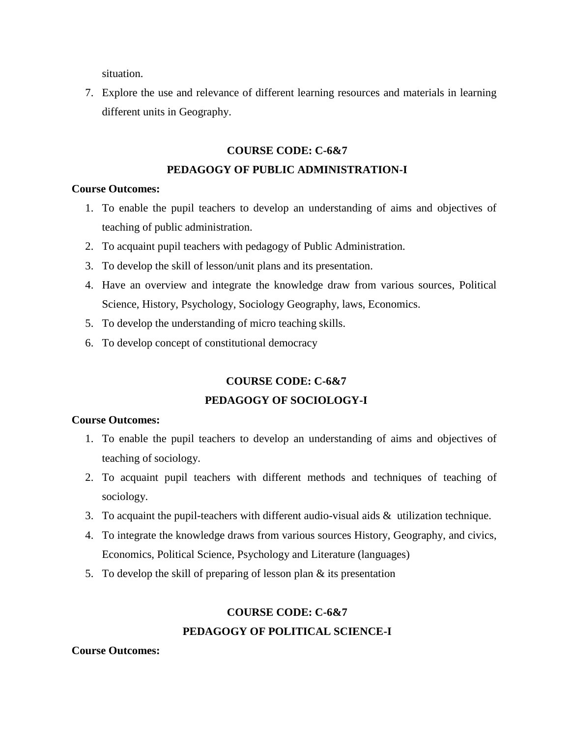situation.

7. Explore the use and relevance of different learning resources and materials in learning different units in Geography.

## **COURSE CODE: C-6&7 PEDAGOGY OF PUBLIC ADMINISTRATION-I**

#### **Course Outcomes:**

- 1. To enable the pupil teachers to develop an understanding of aims and objectives of teaching of public administration.
- 2. To acquaint pupil teachers with pedagogy of Public Administration.
- 3. To develop the skill of lesson/unit plans and its presentation.
- 4. Have an overview and integrate the knowledge draw from various sources, Political Science, History, Psychology, Sociology Geography, laws, Economics.
- 5. To develop the understanding of micro teaching skills.
- 6. To develop concept of constitutional democracy

## **COURSE CODE: C-6&7 PEDAGOGY OF SOCIOLOGY-I**

#### **Course Outcomes:**

- 1. To enable the pupil teachers to develop an understanding of aims and objectives of teaching of sociology.
- 2. To acquaint pupil teachers with different methods and techniques of teaching of sociology.
- 3. To acquaint the pupil-teachers with different audio-visual aids & utilization technique.
- 4. To integrate the knowledge draws from various sources History, Geography, and civics, Economics, Political Science, Psychology and Literature (languages)
- 5. To develop the skill of preparing of lesson plan  $\&$  its presentation

## **COURSE CODE: C-6&7 PEDAGOGY OF POLITICAL SCIENCE-I**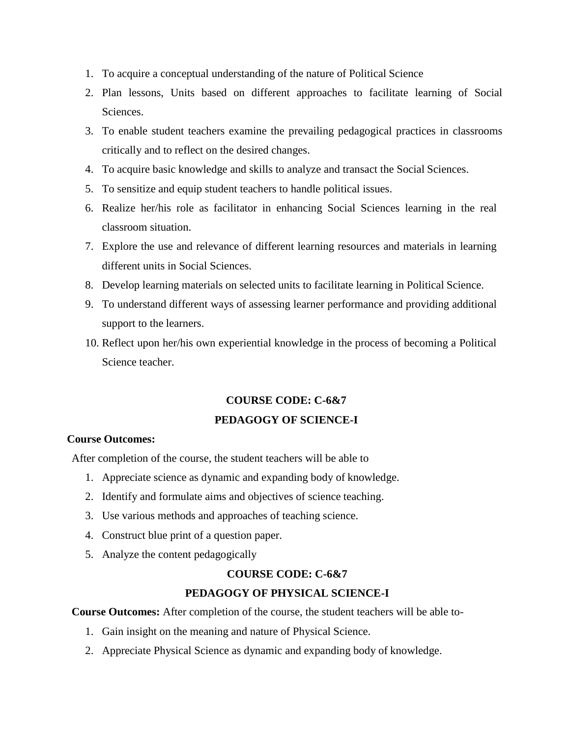- 1. To acquire a conceptual understanding of the nature of Political Science
- 2. Plan lessons, Units based on different approaches to facilitate learning of Social Sciences.
- 3. To enable student teachers examine the prevailing pedagogical practices in classrooms critically and to reflect on the desired changes.
- 4. To acquire basic knowledge and skills to analyze and transact the Social Sciences.
- 5. To sensitize and equip student teachers to handle political issues.
- 6. Realize her/his role as facilitator in enhancing Social Sciences learning in the real classroom situation.
- 7. Explore the use and relevance of different learning resources and materials in learning different units in Social Sciences.
- 8. Develop learning materials on selected units to facilitate learning in Political Science.
- 9. To understand different ways of assessing learner performance and providing additional support to the learners.
- 10. Reflect upon her/his own experiential knowledge in the process of becoming a Political Science teacher.

## **COURSE CODE: C-6&7 PEDAGOGY OF SCIENCE-I**

#### **Course Outcomes:**

After completion of the course, the student teachers will be able to

- 1. Appreciate science as dynamic and expanding body of knowledge.
- 2. Identify and formulate aims and objectives of science teaching.
- 3. Use various methods and approaches of teaching science.
- 4. Construct blue print of a question paper.
- 5. Analyze the content pedagogically

#### **COURSE CODE: C-6&7**

#### **PEDAGOGY OF PHYSICAL SCIENCE-I**

**Course Outcomes:** After completion of the course, the student teachers will be able to-

- 1. Gain insight on the meaning and nature of Physical Science.
- 2. Appreciate Physical Science as dynamic and expanding body of knowledge.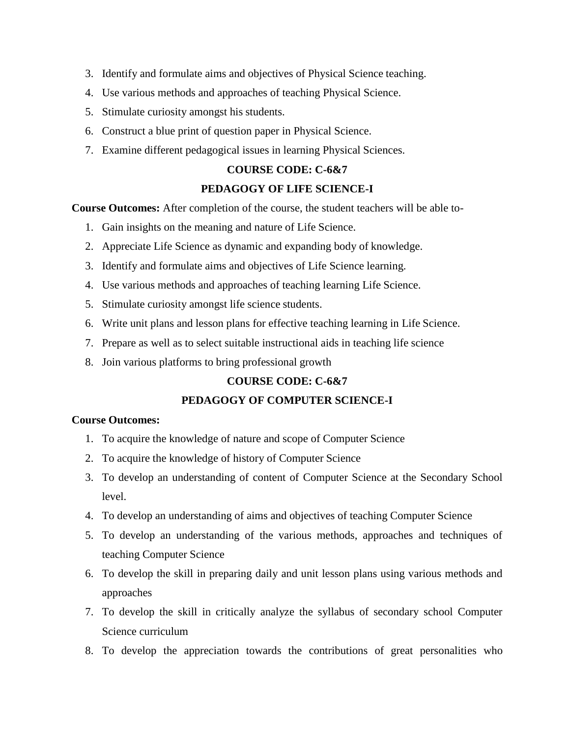- 3. Identify and formulate aims and objectives of Physical Science teaching.
- 4. Use various methods and approaches of teaching Physical Science.
- 5. Stimulate curiosity amongst his students.
- 6. Construct a blue print of question paper in Physical Science.
- 7. Examine different pedagogical issues in learning Physical Sciences.

#### **COURSE CODE: C-6&7**

#### **PEDAGOGY OF LIFE SCIENCE-I**

**Course Outcomes:** After completion of the course, the student teachers will be able to-

- 1. Gain insights on the meaning and nature of Life Science.
- 2. Appreciate Life Science as dynamic and expanding body of knowledge.
- 3. Identify and formulate aims and objectives of Life Science learning.
- 4. Use various methods and approaches of teaching learning Life Science.
- 5. Stimulate curiosity amongst life science students.
- 6. Write unit plans and lesson plans for effective teaching learning in Life Science.
- 7. Prepare as well as to select suitable instructional aids in teaching life science
- 8. Join various platforms to bring professional growth

#### **COURSE CODE: C-6&7**

#### **PEDAGOGY OF COMPUTER SCIENCE-I**

- 1. To acquire the knowledge of nature and scope of Computer Science
- 2. To acquire the knowledge of history of Computer Science
- 3. To develop an understanding of content of Computer Science at the Secondary School level.
- 4. To develop an understanding of aims and objectives of teaching Computer Science
- 5. To develop an understanding of the various methods, approaches and techniques of teaching Computer Science
- 6. To develop the skill in preparing daily and unit lesson plans using various methods and approaches
- 7. To develop the skill in critically analyze the syllabus of secondary school Computer Science curriculum
- 8. To develop the appreciation towards the contributions of great personalities who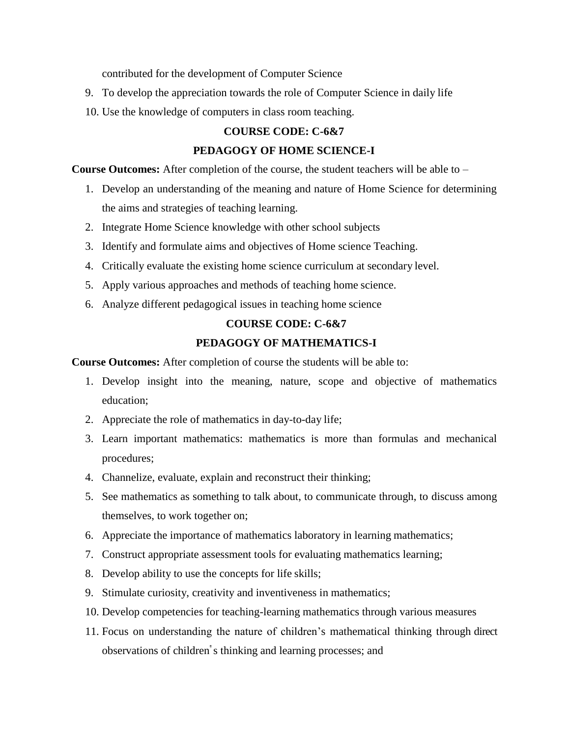contributed for the development of Computer Science

- 9. To develop the appreciation towards the role of Computer Science in daily life
- 10. Use the knowledge of computers in class room teaching.

#### **COURSE CODE: C-6&7**

#### **PEDAGOGY OF HOME SCIENCE-I**

**Course Outcomes:** After completion of the course, the student teachers will be able to –

- 1. Develop an understanding of the meaning and nature of Home Science for determining the aims and strategies of teaching learning.
- 2. Integrate Home Science knowledge with other school subjects
- 3. Identify and formulate aims and objectives of Home science Teaching.
- 4. Critically evaluate the existing home science curriculum at secondary level.
- 5. Apply various approaches and methods of teaching home science.
- 6. Analyze different pedagogical issues in teaching home science

## **COURSE CODE: C-6&7**

#### **PEDAGOGY OF MATHEMATICS-I**

**Course Outcomes:** After completion of course the students will be able to:

- 1. Develop insight into the meaning, nature, scope and objective of mathematics education;
- 2. Appreciate the role of mathematics in day-to-day life;
- 3. Learn important mathematics: mathematics is more than formulas and mechanical procedures;
- 4. Channelize, evaluate, explain and reconstruct their thinking;
- 5. See mathematics as something to talk about, to communicate through, to discuss among themselves, to work together on;
- 6. Appreciate the importance of mathematics laboratory in learning mathematics;
- 7. Construct appropriate assessment tools for evaluating mathematics learning;
- 8. Develop ability to use the concepts for life skills;
- 9. Stimulate curiosity, creativity and inventiveness in mathematics;
- 10. Develop competencies for teaching-learning mathematics through various measures
- 11. Focus on understanding the nature of children's mathematical thinking through direct observations of children" s thinking and learning processes; and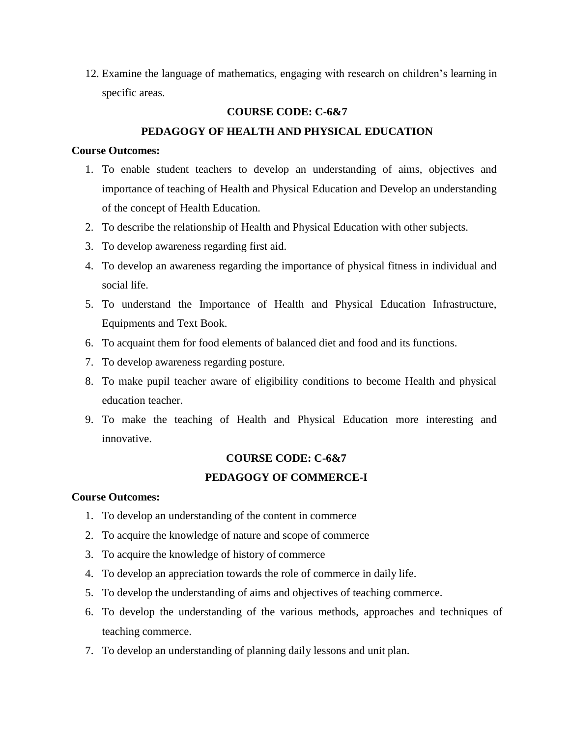12. Examine the language of mathematics, engaging with research on children's learning in specific areas.

#### **COURSE CODE: C-6&7**

#### **PEDAGOGY OF HEALTH AND PHYSICAL EDUCATION**

#### **Course Outcomes:**

- 1. To enable student teachers to develop an understanding of aims, objectives and importance of teaching of Health and Physical Education and Develop an understanding of the concept of Health Education.
- 2. To describe the relationship of Health and Physical Education with other subjects.
- 3. To develop awareness regarding first aid.
- 4. To develop an awareness regarding the importance of physical fitness in individual and social life.
- 5. To understand the Importance of Health and Physical Education Infrastructure, Equipments and Text Book.
- 6. To acquaint them for food elements of balanced diet and food and its functions.
- 7. To develop awareness regarding posture.
- 8. To make pupil teacher aware of eligibility conditions to become Health and physical education teacher.
- 9. To make the teaching of Health and Physical Education more interesting and innovative.

# **COURSE CODE: C-6&7**

## **PEDAGOGY OF COMMERCE-I**

- 1. To develop an understanding of the content in commerce
- 2. To acquire the knowledge of nature and scope of commerce
- 3. To acquire the knowledge of history of commerce
- 4. To develop an appreciation towards the role of commerce in daily life.
- 5. To develop the understanding of aims and objectives of teaching commerce.
- 6. To develop the understanding of the various methods, approaches and techniques of teaching commerce.
- 7. To develop an understanding of planning daily lessons and unit plan.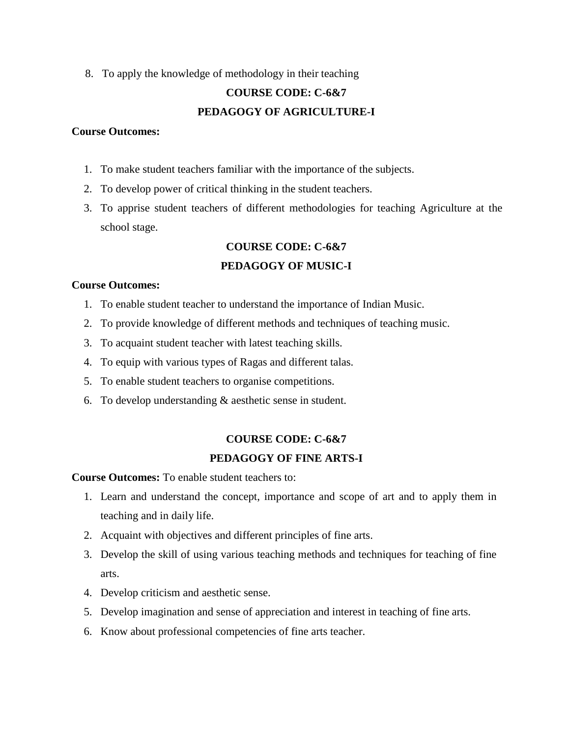8. To apply the knowledge of methodology in their teaching

## **COURSE CODE: C-6&7 PEDAGOGY OF AGRICULTURE-I**

#### **Course Outcomes:**

- 1. To make student teachers familiar with the importance of the subjects.
- 2. To develop power of critical thinking in the student teachers.
- 3. To apprise student teachers of different methodologies for teaching Agriculture at the school stage.

#### **COURSE CODE: C-6&7**

#### **PEDAGOGY OF MUSIC-I**

#### **Course Outcomes:**

- 1. To enable student teacher to understand the importance of Indian Music.
- 2. To provide knowledge of different methods and techniques of teaching music.
- 3. To acquaint student teacher with latest teaching skills.
- 4. To equip with various types of Ragas and different talas.
- 5. To enable student teachers to organise competitions.
- 6. To develop understanding & aesthetic sense in student.

#### **COURSE CODE: C-6&7**

#### **PEDAGOGY OF FINE ARTS-I**

**Course Outcomes:** To enable student teachers to:

- 1. Learn and understand the concept, importance and scope of art and to apply them in teaching and in daily life.
- 2. Acquaint with objectives and different principles of fine arts.
- 3. Develop the skill of using various teaching methods and techniques for teaching of fine arts.
- 4. Develop criticism and aesthetic sense.
- 5. Develop imagination and sense of appreciation and interest in teaching of fine arts.
- 6. Know about professional competencies of fine arts teacher.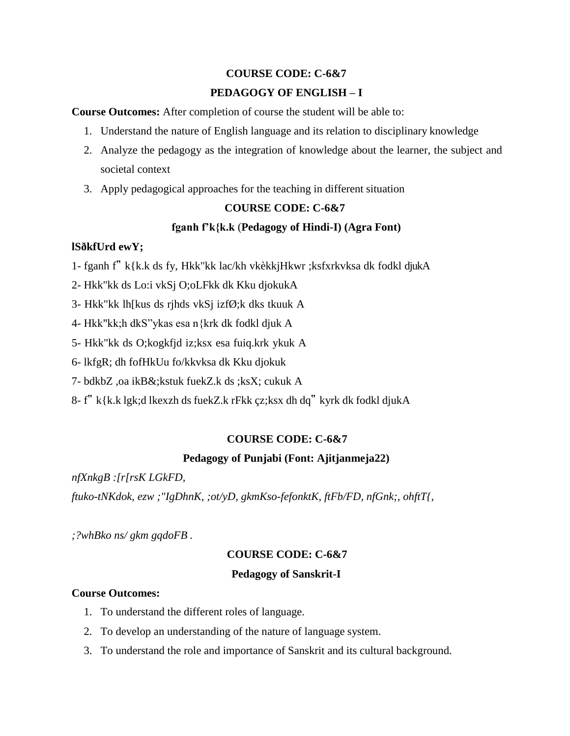## **COURSE CODE: C-6&7 PEDAGOGY OF ENGLISH – I**

**Course Outcomes:** After completion of course the student will be able to:

- 1. Understand the nature of English language and its relation to disciplinary knowledge
- 2. Analyze the pedagogy as the integration of knowledge about the learner, the subject and societal context
- 3. Apply pedagogical approaches for the teaching in different situation

### **COURSE CODE: C-6&7**

### **fganh f'k{k.k** (**Pedagogy of Hindi-I) (Agra Font)**

## **lSðkfUrd ewY;**

- 1- fganh f" k{k.k ds fy, Hkk"kk lac/kh vkèkkjHkwr ;ksfxrkvksa dk fodkl djukA
- 2- Hkk"kk ds Lo:i vkSj O;oLFkk dk Kku djokukA
- 3- Hkk"kk lh[kus ds rjhds vkSj izfØ;k dks tkuuk A
- 4- Hkk"kk;h dkS"ykas esa n{krk dk fodkl djuk A
- 5- Hkk"kk ds O;kogkfjd iz;ksx esa fuiq.krk ykuk A
- 6- lkfgR; dh fofHkUu fo/kkvksa dk Kku djokuk
- 7- bdkbZ ,oa ikB&;kstuk fuekZ.k ds ;ksX; cukuk A
- 8- f" k{k.k lgk;d lkexzh ds fuekZ.k rFkk çz;ksx dh dq" kyrk dk fodkl djukA

## **COURSE CODE: C-6&7**

### **Pedagogy of Punjabi (Font: Ajitjanmeja22)**

*nfXnkgB :[r[rsK LGkFD,*

*ftuko-tNKdok, ezw ;"IgDhnK, ;ot/yD, gkmKso-fefonktK, ftFb/FD, nfGnk;, ohftT{,*

*;?whBko ns/ gkm gqdoFB .*

### **COURSE CODE: C-6&7**

### **Pedagogy of Sanskrit-I**

- 1. To understand the different roles of language.
- 2. To develop an understanding of the nature of language system.
- 3. To understand the role and importance of Sanskrit and its cultural background.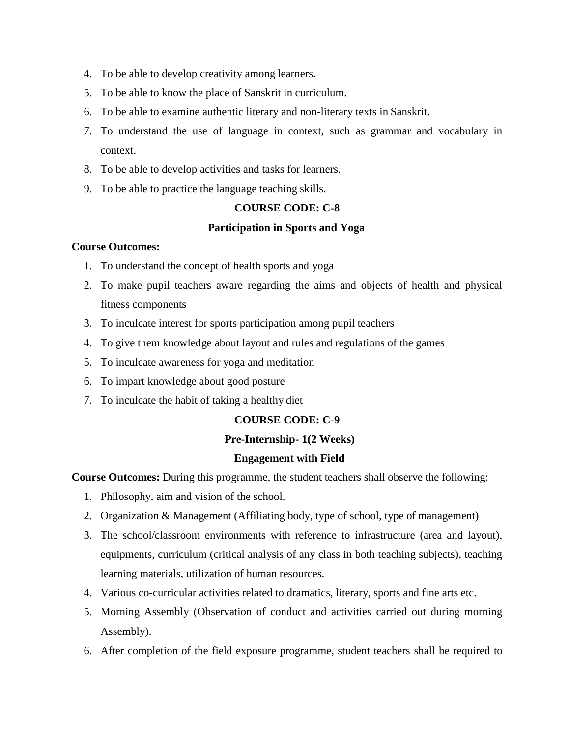- 4. To be able to develop creativity among learners.
- 5. To be able to know the place of Sanskrit in curriculum.
- 6. To be able to examine authentic literary and non-literary texts in Sanskrit.
- 7. To understand the use of language in context, such as grammar and vocabulary in context.
- 8. To be able to develop activities and tasks for learners.
- 9. To be able to practice the language teaching skills.

#### **COURSE CODE: C-8**

#### **Participation in Sports and Yoga**

#### **Course Outcomes:**

- 1. To understand the concept of health sports and yoga
- 2. To make pupil teachers aware regarding the aims and objects of health and physical fitness components
- 3. To inculcate interest for sports participation among pupil teachers
- 4. To give them knowledge about layout and rules and regulations of the games
- 5. To inculcate awareness for yoga and meditation
- 6. To impart knowledge about good posture
- 7. To inculcate the habit of taking a healthy diet

#### **COURSE CODE: C-9**

#### **Pre-Internship- 1(2 Weeks)**

#### **Engagement with Field**

**Course Outcomes:** During this programme, the student teachers shall observe the following:

- 1. Philosophy, aim and vision of the school.
- 2. Organization & Management (Affiliating body, type of school, type of management)
- 3. The school/classroom environments with reference to infrastructure (area and layout), equipments, curriculum (critical analysis of any class in both teaching subjects), teaching learning materials, utilization of human resources.
- 4. Various co-curricular activities related to dramatics, literary, sports and fine arts etc.
- 5. Morning Assembly (Observation of conduct and activities carried out during morning Assembly).
- 6. After completion of the field exposure programme, student teachers shall be required to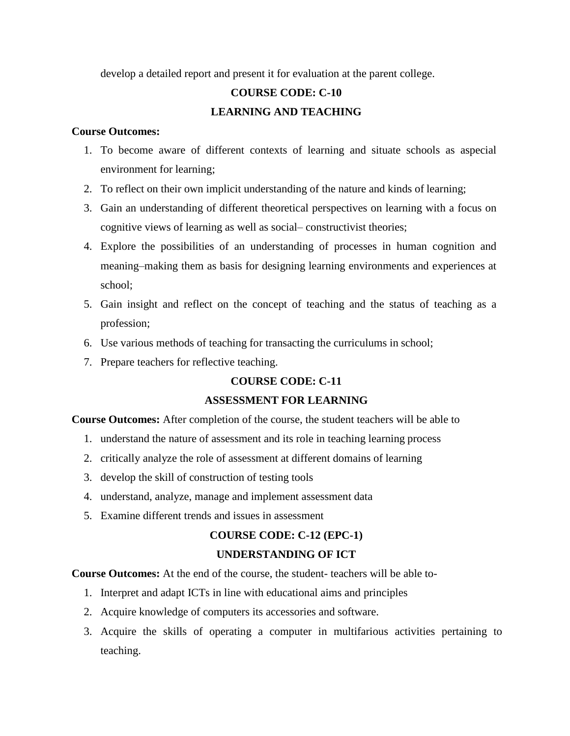develop a detailed report and present it for evaluation at the parent college.

### **COURSE CODE: C-10**

#### **LEARNING AND TEACHING**

#### **Course Outcomes:**

- 1. To become aware of different contexts of learning and situate schools as aspecial environment for learning;
- 2. To reflect on their own implicit understanding of the nature and kinds of learning;
- 3. Gain an understanding of different theoretical perspectives on learning with a focus on cognitive views of learning as well as social– constructivist theories;
- 4. Explore the possibilities of an understanding of processes in human cognition and meaning–making them as basis for designing learning environments and experiences at school;
- 5. Gain insight and reflect on the concept of teaching and the status of teaching as a profession;
- 6. Use various methods of teaching for transacting the curriculums in school;
- 7. Prepare teachers for reflective teaching.

#### **COURSE CODE: C-11**

#### **ASSESSMENT FOR LEARNING**

**Course Outcomes:** After completion of the course, the student teachers will be able to

- 1. understand the nature of assessment and its role in teaching learning process
- 2. critically analyze the role of assessment at different domains of learning
- 3. develop the skill of construction of testing tools
- 4. understand, analyze, manage and implement assessment data
- 5. Examine different trends and issues in assessment

#### **COURSE CODE: C-12 (EPC-1)**

#### **UNDERSTANDING OF ICT**

**Course Outcomes:** At the end of the course, the student- teachers will be able to-

- 1. Interpret and adapt ICTs in line with educational aims and principles
- 2. Acquire knowledge of computers its accessories and software.
- 3. Acquire the skills of operating a computer in multifarious activities pertaining to teaching.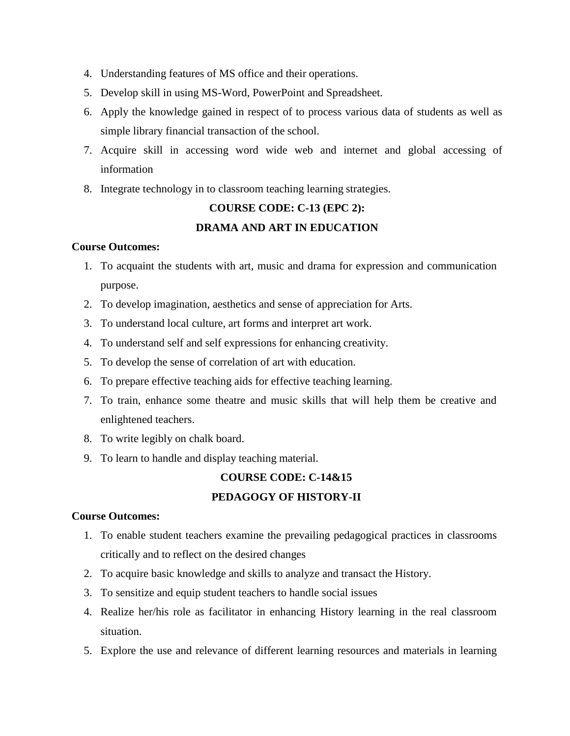- 4. Understanding features of MS office and their operations.
- 5. Develop skill in using MS-Word, PowerPoint and Spreadsheet.
- 6. Apply the knowledge gained in respect of to process various data of students as well as simple library financial transaction of the school.
- 7. Acquire skill in accessing word wide web and internet and global accessing of information
- 8. Integrate technology in to classroom teaching learning strategies.

## **COURSE CODE: C-13 (EPC 2): DRAMA AND ART IN EDUCATION**

#### **Course Outcomes:**

- 1. To acquaint the students with art, music and drama for expression and communication purpose.
- 2. To develop imagination, aesthetics and sense of appreciation for Arts.
- 3. To understand local culture, art forms and interpret art work.
- 4. To understand self and self expressions for enhancing creativity.
- 5. To develop the sense of correlation of art with education.
- 6. To prepare effective teaching aids for effective teaching learning.
- 7. To train, enhance some theatre and music skills that will help them be creative and enlightened teachers.
- 8. To write legibly on chalk board.
- 9. To learn to handle and display teaching material.

#### **COURSE CODE: C-14&15**

#### **PEDAGOGY OF HISTORY-II**

- 1. To enable student teachers examine the prevailing pedagogical practices in classrooms critically and to reflect on the desired changes
- 2. To acquire basic knowledge and skills to analyze and transact the History.
- 3. To sensitize and equip student teachers to handle social issues
- 4. Realize her/his role as facilitator in enhancing History learning in the real classroom situation.
- 5. Explore the use and relevance of different learning resources and materials in learning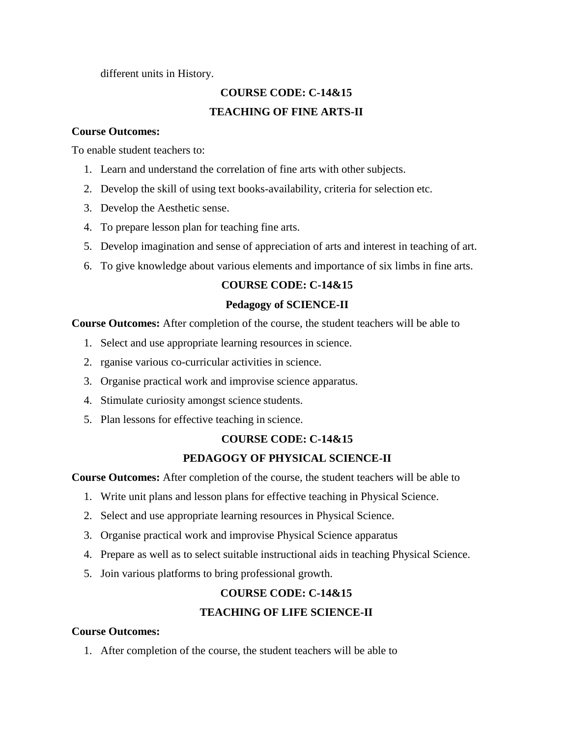#### different units in History.

## **COURSE CODE: C-14&15 TEACHING OF FINE ARTS-II**

#### **Course Outcomes:**

To enable student teachers to:

- 1. Learn and understand the correlation of fine arts with other subjects.
- 2. Develop the skill of using text books-availability, criteria for selection etc.
- 3. Develop the Aesthetic sense.
- 4. To prepare lesson plan for teaching fine arts.
- 5. Develop imagination and sense of appreciation of arts and interest in teaching of art.
- 6. To give knowledge about various elements and importance of six limbs in fine arts.

### **COURSE CODE: C-14&15**

### **Pedagogy of SCIENCE-II**

**Course Outcomes:** After completion of the course, the student teachers will be able to

- 1. Select and use appropriate learning resources in science.
- 2. rganise various co-curricular activities in science.
- 3. Organise practical work and improvise science apparatus.
- 4. Stimulate curiosity amongst science students.
- 5. Plan lessons for effective teaching in science.

### **COURSE CODE: C-14&15**

### **PEDAGOGY OF PHYSICAL SCIENCE-II**

**Course Outcomes:** After completion of the course, the student teachers will be able to

- 1. Write unit plans and lesson plans for effective teaching in Physical Science.
- 2. Select and use appropriate learning resources in Physical Science.
- 3. Organise practical work and improvise Physical Science apparatus
- 4. Prepare as well as to select suitable instructional aids in teaching Physical Science.
- 5. Join various platforms to bring professional growth.

### **COURSE CODE: C-14&15**

### **TEACHING OF LIFE SCIENCE-II**

#### **Course Outcomes:**

1. After completion of the course, the student teachers will be able to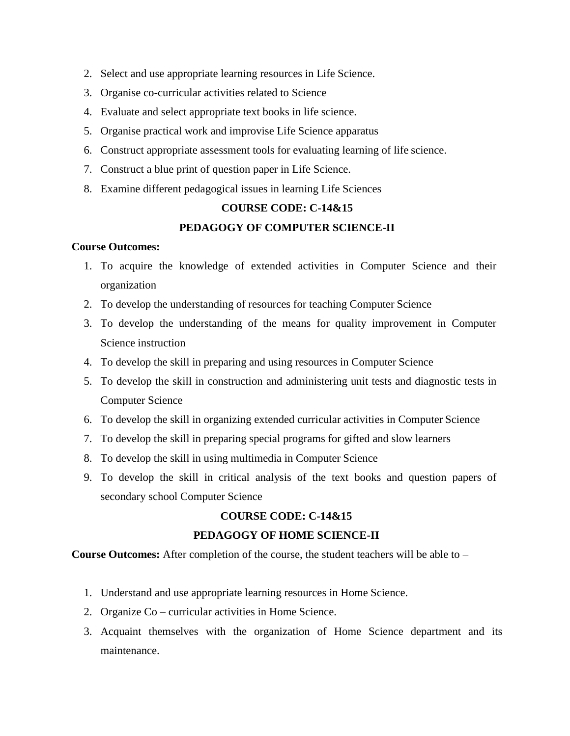- 2. Select and use appropriate learning resources in Life Science.
- 3. Organise co-curricular activities related to Science
- 4. Evaluate and select appropriate text books in life science.
- 5. Organise practical work and improvise Life Science apparatus
- 6. Construct appropriate assessment tools for evaluating learning of life science.
- 7. Construct a blue print of question paper in Life Science.
- 8. Examine different pedagogical issues in learning Life Sciences

#### **COURSE CODE: C-14&15**

#### **PEDAGOGY OF COMPUTER SCIENCE-II**

#### **Course Outcomes:**

- 1. To acquire the knowledge of extended activities in Computer Science and their organization
- 2. To develop the understanding of resources for teaching Computer Science
- 3. To develop the understanding of the means for quality improvement in Computer Science instruction
- 4. To develop the skill in preparing and using resources in Computer Science
- 5. To develop the skill in construction and administering unit tests and diagnostic tests in Computer Science
- 6. To develop the skill in organizing extended curricular activities in Computer Science
- 7. To develop the skill in preparing special programs for gifted and slow learners
- 8. To develop the skill in using multimedia in Computer Science
- 9. To develop the skill in critical analysis of the text books and question papers of secondary school Computer Science

#### **COURSE CODE: C-14&15**

#### **PEDAGOGY OF HOME SCIENCE-II**

**Course Outcomes:** After completion of the course, the student teachers will be able to –

- 1. Understand and use appropriate learning resources in Home Science.
- 2. Organize Co curricular activities in Home Science.
- 3. Acquaint themselves with the organization of Home Science department and its maintenance.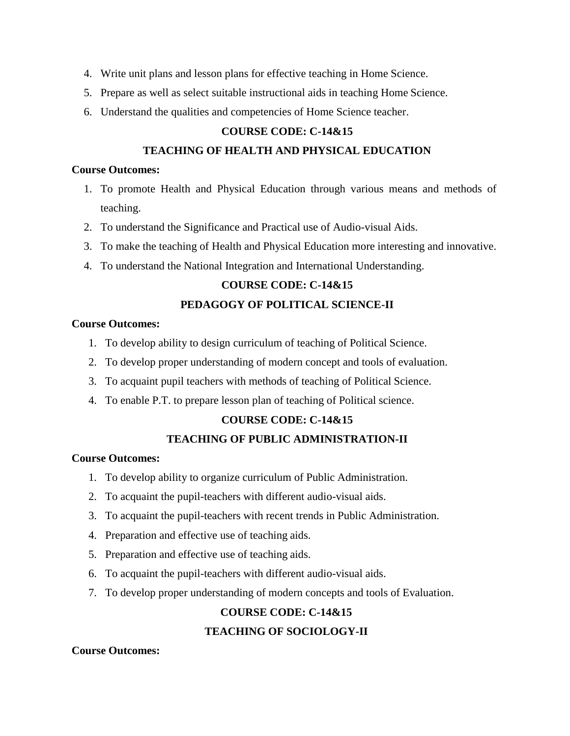- 4. Write unit plans and lesson plans for effective teaching in Home Science.
- 5. Prepare as well as select suitable instructional aids in teaching Home Science.
- 6. Understand the qualities and competencies of Home Science teacher.

#### **COURSE CODE: C-14&15**

#### **TEACHING OF HEALTH AND PHYSICAL EDUCATION**

#### **Course Outcomes:**

- 1. To promote Health and Physical Education through various means and methods of teaching.
- 2. To understand the Significance and Practical use of Audio-visual Aids.
- 3. To make the teaching of Health and Physical Education more interesting and innovative.
- 4. To understand the National Integration and International Understanding.

#### **COURSE CODE: C-14&15**

#### **PEDAGOGY OF POLITICAL SCIENCE-II**

#### **Course Outcomes:**

- 1. To develop ability to design curriculum of teaching of Political Science.
- 2. To develop proper understanding of modern concept and tools of evaluation.
- 3. To acquaint pupil teachers with methods of teaching of Political Science.
- 4. To enable P.T. to prepare lesson plan of teaching of Political science.

#### **COURSE CODE: C-14&15**

#### **TEACHING OF PUBLIC ADMINISTRATION-II**

#### **Course Outcomes:**

- 1. To develop ability to organize curriculum of Public Administration.
- 2. To acquaint the pupil-teachers with different audio-visual aids.
- 3. To acquaint the pupil-teachers with recent trends in Public Administration.
- 4. Preparation and effective use of teaching aids.
- 5. Preparation and effective use of teaching aids.
- 6. To acquaint the pupil-teachers with different audio-visual aids.
- 7. To develop proper understanding of modern concepts and tools of Evaluation.

## **COURSE CODE: C-14&15 TEACHING OF SOCIOLOGY-II**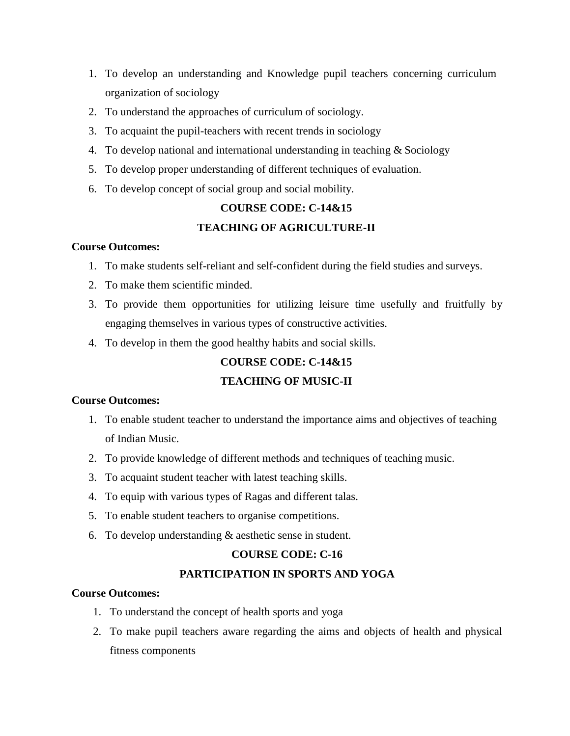- 1. To develop an understanding and Knowledge pupil teachers concerning curriculum organization of sociology
- 2. To understand the approaches of curriculum of sociology.
- 3. To acquaint the pupil-teachers with recent trends in sociology
- 4. To develop national and international understanding in teaching & Sociology
- 5. To develop proper understanding of different techniques of evaluation.
- 6. To develop concept of social group and social mobility.

#### **COURSE CODE: C-14&15**

#### **TEACHING OF AGRICULTURE-II**

#### **Course Outcomes:**

- 1. To make students self-reliant and self-confident during the field studies and surveys.
- 2. To make them scientific minded.
- 3. To provide them opportunities for utilizing leisure time usefully and fruitfully by engaging themselves in various types of constructive activities.
- 4. To develop in them the good healthy habits and social skills.

#### **COURSE CODE: C-14&15**

#### **TEACHING OF MUSIC-II**

#### **Course Outcomes:**

- 1. To enable student teacher to understand the importance aims and objectives of teaching of Indian Music.
- 2. To provide knowledge of different methods and techniques of teaching music.
- 3. To acquaint student teacher with latest teaching skills.
- 4. To equip with various types of Ragas and different talas.
- 5. To enable student teachers to organise competitions.
- 6. To develop understanding  $&$  aesthetic sense in student.

#### **COURSE CODE: C-16**

#### **PARTICIPATION IN SPORTS AND YOGA**

- 1. To understand the concept of health sports and yoga
- 2. To make pupil teachers aware regarding the aims and objects of health and physical fitness components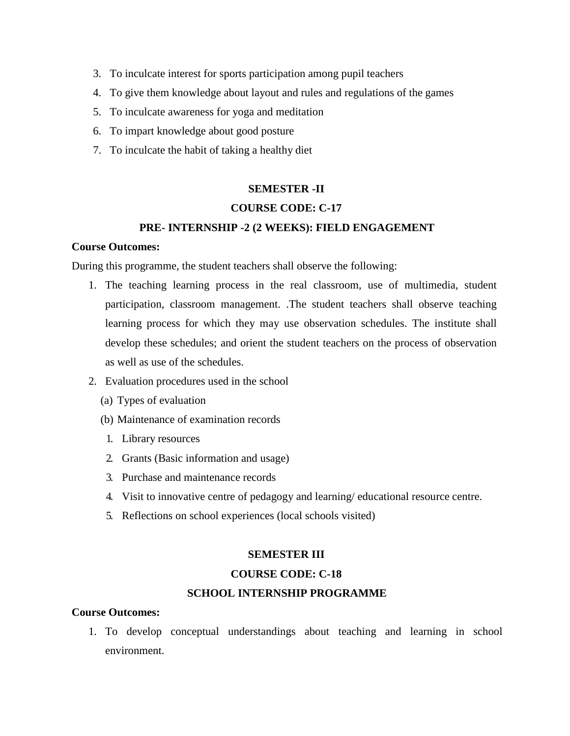- 3. To inculcate interest for sports participation among pupil teachers
- 4. To give them knowledge about layout and rules and regulations of the games
- 5. To inculcate awareness for yoga and meditation
- 6. To impart knowledge about good posture
- 7. To inculcate the habit of taking a healthy diet

#### **SEMESTER -II**

#### **COURSE CODE: C-17**

#### **PRE- INTERNSHIP -2 (2 WEEKS): FIELD ENGAGEMENT**

#### **Course Outcomes:**

During this programme, the student teachers shall observe the following:

- 1. The teaching learning process in the real classroom, use of multimedia, student participation, classroom management. .The student teachers shall observe teaching learning process for which they may use observation schedules. The institute shall develop these schedules; and orient the student teachers on the process of observation as well as use of the schedules.
- 2. Evaluation procedures used in the school
	- (a) Types of evaluation
	- (b) Maintenance of examination records
	- 1. Library resources
	- 2. Grants (Basic information and usage)
	- 3. Purchase and maintenance records
	- 4. Visit to innovative centre of pedagogy and learning/ educational resource centre.
	- 5. Reflections on school experiences (local schools visited)

#### **SEMESTER III**

#### **COURSE CODE: C-18**

#### **SCHOOL INTERNSHIP PROGRAMME**

#### **Course Outcomes:**

1. To develop conceptual understandings about teaching and learning in school environment.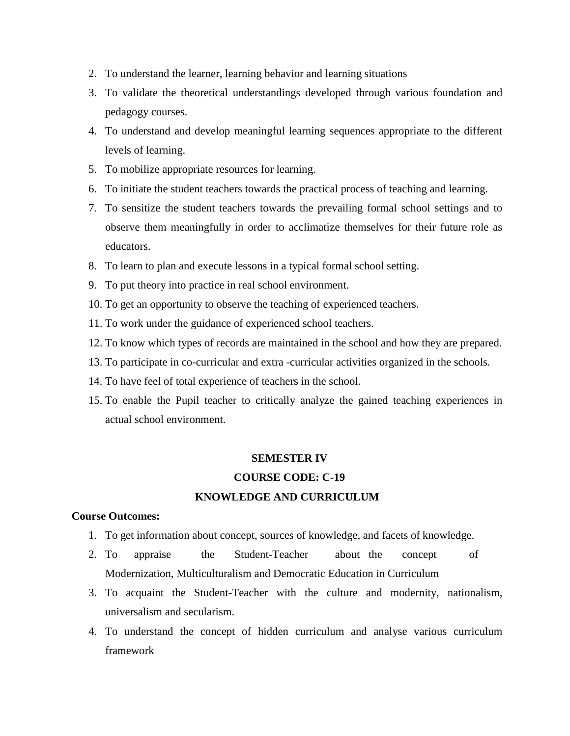- 2. To understand the learner, learning behavior and learning situations
- 3. To validate the theoretical understandings developed through various foundation and pedagogy courses.
- 4. To understand and develop meaningful learning sequences appropriate to the different levels of learning.
- 5. To mobilize appropriate resources for learning.
- 6. To initiate the student teachers towards the practical process of teaching and learning.
- 7. To sensitize the student teachers towards the prevailing formal school settings and to observe them meaningfully in order to acclimatize themselves for their future role as educators.
- 8. To learn to plan and execute lessons in a typical formal school setting.
- 9. To put theory into practice in real school environment.
- 10. To get an opportunity to observe the teaching of experienced teachers.
- 11. To work under the guidance of experienced school teachers.
- 12. To know which types of records are maintained in the school and how they are prepared.
- 13. To participate in co-curricular and extra -curricular activities organized in the schools.
- 14. To have feel of total experience of teachers in the school.
- 15. To enable the Pupil teacher to critically analyze the gained teaching experiences in actual school environment.

#### **SEMESTER IV**

#### **COURSE CODE: C-19**

#### **KNOWLEDGE AND CURRICULUM**

- 1. To get information about concept, sources of knowledge, and facets of knowledge.
- 2. To appraise the Student-Teacher about the concept of Modernization, Multiculturalism and Democratic Education in Curriculum
- 3. To acquaint the Student-Teacher with the culture and modernity, nationalism, universalism and secularism.
- 4. To understand the concept of hidden curriculum and analyse various curriculum framework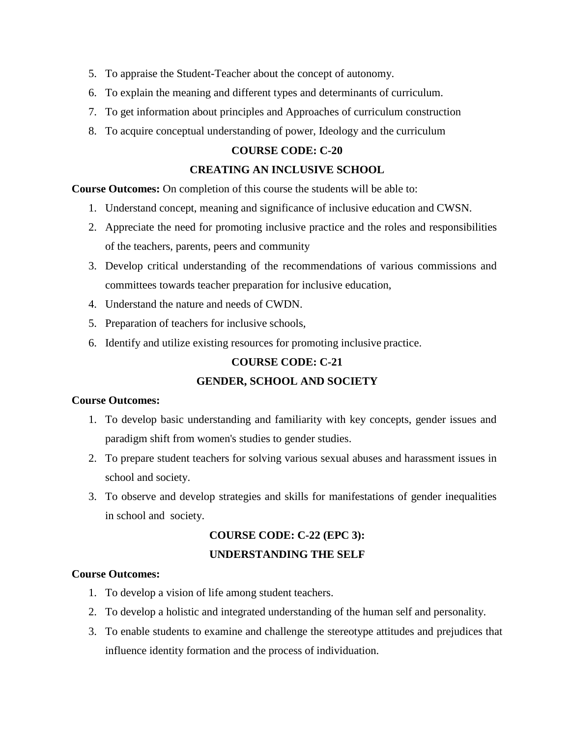- 5. To appraise the Student-Teacher about the concept of autonomy.
- 6. To explain the meaning and different types and determinants of curriculum.
- 7. To get information about principles and Approaches of curriculum construction
- 8. To acquire conceptual understanding of power, Ideology and the curriculum

#### **COURSE CODE: C-20**

#### **CREATING AN INCLUSIVE SCHOOL**

**Course Outcomes:** On completion of this course the students will be able to:

- 1. Understand concept, meaning and significance of inclusive education and CWSN.
- 2. Appreciate the need for promoting inclusive practice and the roles and responsibilities of the teachers, parents, peers and community
- 3. Develop critical understanding of the recommendations of various commissions and committees towards teacher preparation for inclusive education,
- 4. Understand the nature and needs of CWDN.
- 5. Preparation of teachers for inclusive schools,
- 6. Identify and utilize existing resources for promoting inclusive practice.

#### **COURSE CODE: C-21**

#### **GENDER, SCHOOL AND SOCIETY**

#### **Course Outcomes:**

- 1. To develop basic understanding and familiarity with key concepts, gender issues and paradigm shift from women's studies to gender studies.
- 2. To prepare student teachers for solving various sexual abuses and harassment issues in school and society.
- 3. To observe and develop strategies and skills for manifestations of gender inequalities in school and society.

## **COURSE CODE: C-22 (EPC 3): UNDERSTANDING THE SELF**

- 1. To develop a vision of life among student teachers.
- 2. To develop a holistic and integrated understanding of the human self and personality.
- 3. To enable students to examine and challenge the stereotype attitudes and prejudices that influence identity formation and the process of individuation.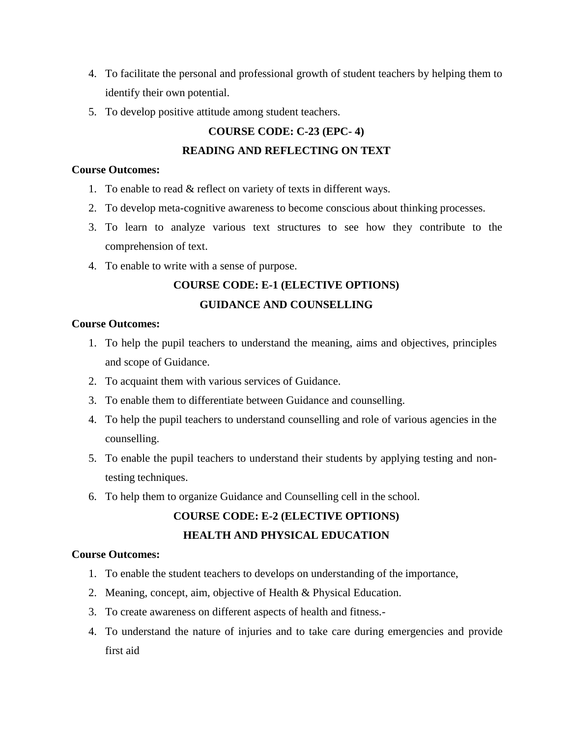- 4. To facilitate the personal and professional growth of student teachers by helping them to identify their own potential.
- 5. To develop positive attitude among student teachers.

## **COURSE CODE: C-23 (EPC- 4)**

#### **READING AND REFLECTING ON TEXT**

#### **Course Outcomes:**

- 1. To enable to read & reflect on variety of texts in different ways.
- 2. To develop meta-cognitive awareness to become conscious about thinking processes.
- 3. To learn to analyze various text structures to see how they contribute to the comprehension of text.
- 4. To enable to write with a sense of purpose.

# **COURSE CODE: E-1 (ELECTIVE OPTIONS)**

## **GUIDANCE AND COUNSELLING**

#### **Course Outcomes:**

- 1. To help the pupil teachers to understand the meaning, aims and objectives, principles and scope of Guidance.
- 2. To acquaint them with various services of Guidance.
- 3. To enable them to differentiate between Guidance and counselling.
- 4. To help the pupil teachers to understand counselling and role of various agencies in the counselling.
- 5. To enable the pupil teachers to understand their students by applying testing and nontesting techniques.
- 6. To help them to organize Guidance and Counselling cell in the school.

## **COURSE CODE: E-2 (ELECTIVE OPTIONS) HEALTH AND PHYSICAL EDUCATION**

- 1. To enable the student teachers to develops on understanding of the importance,
- 2. Meaning, concept, aim, objective of Health & Physical Education.
- 3. To create awareness on different aspects of health and fitness.-
- 4. To understand the nature of injuries and to take care during emergencies and provide first aid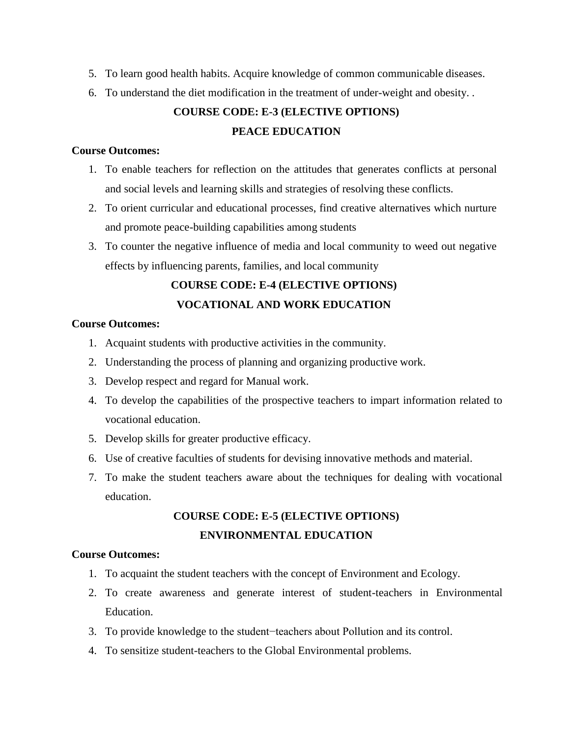- 5. To learn good health habits. Acquire knowledge of common communicable diseases.
- 6. To understand the diet modification in the treatment of under-weight and obesity. .

## **COURSE CODE: E-3 (ELECTIVE OPTIONS) PEACE EDUCATION**

#### **Course Outcomes:**

- 1. To enable teachers for reflection on the attitudes that generates conflicts at personal and social levels and learning skills and strategies of resolving these conflicts.
- 2. To orient curricular and educational processes, find creative alternatives which nurture and promote peace-building capabilities among students
- 3. To counter the negative influence of media and local community to weed out negative effects by influencing parents, families, and local community

## **COURSE CODE: E-4 (ELECTIVE OPTIONS) VOCATIONAL AND WORK EDUCATION**

#### **Course Outcomes:**

- 1. Acquaint students with productive activities in the community.
- 2. Understanding the process of planning and organizing productive work.
- 3. Develop respect and regard for Manual work.
- 4. To develop the capabilities of the prospective teachers to impart information related to vocational education.
- 5. Develop skills for greater productive efficacy.
- 6. Use of creative faculties of students for devising innovative methods and material.
- 7. To make the student teachers aware about the techniques for dealing with vocational education.

## **COURSE CODE: E-5 (ELECTIVE OPTIONS) ENVIRONMENTAL EDUCATION**

- 1. To acquaint the student teachers with the concept of Environment and Ecology.
- 2. To create awareness and generate interest of student-teachers in Environmental Education.
- 3. To provide knowledge to the student−teachers about Pollution and its control.
- 4. To sensitize student-teachers to the Global Environmental problems.